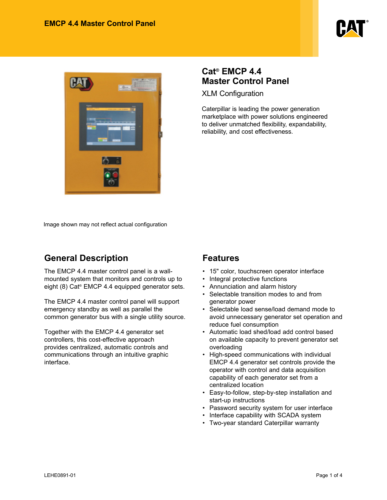



### **Cat® EMCP 4.4 Master Control Panel**

XLM Configuration

Caterpillar is leading the power generation marketplace with power solutions engineered to deliver unmatched flexibility, expandability, reliability, and cost effectiveness.

Image shown may not reflect actual configuration

# **General Description**

The EMCP 4.4 master control panel is a wallmounted system that monitors and controls up to eight (8) Cat® EMCP 4.4 equipped generator sets.

The EMCP 4.4 master control panel will support emergency standby as well as parallel the common generator bus with a single utility source.

Together with the EMCP 4.4 generator set controllers, this cost-effective approach provides centralized, automatic controls and communications through an intuitive graphic interface.

### **Features**

- 15" color, touchscreen operator interface
- Integral protective functions
- Annunciation and alarm history
- Selectable transition modes to and from generator power
- Selectable load sense/load demand mode to avoid unnecessary generator set operation and reduce fuel consumption
- Automatic load shed/load add control based on available capacity to prevent generator set overloading
- High-speed communications with individual EMCP 4.4 generator set controls provide the operator with control and data acquisition capability of each generator set from a centralized location
- Easy-to-follow, step-by-step installation and start-up instructions
- Password security system for user interface
- Interface capability with SCADA system
- Two-year standard Caterpillar warranty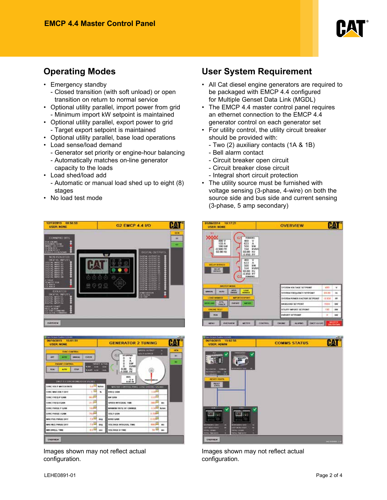

- Emergency standby
	- Closed transition (with soft unload) or open transition on return to normal service
- Optional utility parallel, import power from grid - Minimum import kW setpoint is maintained
- Optional utility parallel, export power to grid - Target export setpoint is maintained
- Optional utility parallel, base load operations
- Load sense/load demand
	- Generator set priority or engine-hour balancing
	- Automatically matches on-line generator
	- capacity to the loads
- Load shed/load add
	- Automatic or manual load shed up to eight (8) stages
- No load test mode





Images shown may not reflect actual configuration.

## **Operating Modes User System Requirement**

- All Cat diesel engine generators are required to be packaged with EMCP 4.4 configured for Multiple Genset Data Link (MGDL)
- The EMCP 4.4 master control panel requires an ethernet connection to the EMCP 4.4 generator control on each generator set
- For utility control, the utility circuit breaker should be provided with:
	- Two (2) auxiliary contacts (1A & 1B)
	- Bell alarm contact
	- Circuit breaker open circuit
	- Circuit breaker close circuit
	- Integral short circuit protection
- The utility source must be furnished with voltage sensing (3-phase, 4-wire) on both the source side and bus side and current sensing (3-phase, 5 amp secondary)

| 01/06/2014 18:17:21<br><b>USER: NONE</b>                           |                                                                                                                                                | <b>OVERVIEW</b>                       |             |           |
|--------------------------------------------------------------------|------------------------------------------------------------------------------------------------------------------------------------------------|---------------------------------------|-------------|-----------|
| 149<br>يعيبي<br>480 V<br>133 A<br>TOO kW<br>$-0.900 P$<br>60.00 Hz | <b><i>RAMOUNCL</i></b><br>u<br>4H)<br>v<br>633<br>$\lambda$<br>500<br>3/W<br>164<br><b>KVARI</b><br>60.00 Hz<br>$-0.950$ PF<br>485<br>633<br>А |                                       |             |           |
| <b>DELAY RYPACS</b><br><b>INELAW</b><br><b>WINNIPEG</b>            | 500<br><b>AW</b><br>1641<br><b>kyau</b><br>60.00 Hz<br>$0.950$ PF<br><b>Alphabets</b><br><b>Card</b>                                           |                                       |             |           |
| MAGEED MODEL                                                       |                                                                                                                                                | SYSTEM VOLTAGE SETPORT                | 430         | ٧         |
| <b>HUTE</b><br><b>MARINE</b>                                       | <b>Editor</b><br><b>APTIN</b><br><b>EMPARK</b><br>NEWATE                                                                                       | SYSTEM ETEQUEMCY SETDONET             | and dail    | ÷         |
| <b>LEMO' MANALIE</b>                                               | <b>NATURAL RESISTENCE</b>                                                                                                                      | SYSTEM FOWER FACTOR SETPORT           | $-0.304$    | m         |
| <b>MTK</b><br><b><i><u>ATELERAN</u></i></b><br><b>ГИАСК</b>        | <b>RIMPORTS</b><br><b>Service</b>                                                                                                              | <b>BASELOAD SETHONT</b>               | <b>HUUU</b> | <b>MW</b> |
| <b>CHUNG ILST</b>                                                  |                                                                                                                                                | <b><i>WELFITY IMPORT SETPOINT</i></b> | 196         | <b>WW</b> |



Images shown may not reflect actual configuration.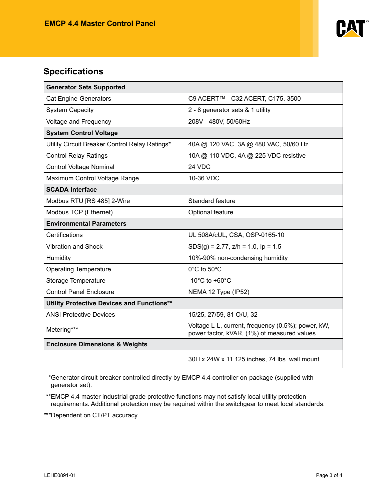

### **Specifications**

| <b>Generator Sets Supported</b>                   |                                                                                                   |  |  |
|---------------------------------------------------|---------------------------------------------------------------------------------------------------|--|--|
| <b>Cat Engine-Generators</b>                      | C9 ACERT™ - C32 ACERT, C175, 3500                                                                 |  |  |
| <b>System Capacity</b>                            | 2 - 8 generator sets & 1 utility                                                                  |  |  |
| <b>Voltage and Frequency</b>                      | 208V - 480V, 50/60Hz                                                                              |  |  |
| <b>System Control Voltage</b>                     |                                                                                                   |  |  |
| Utility Circuit Breaker Control Relay Ratings*    | 40A @ 120 VAC, 3A @ 480 VAC, 50/60 Hz                                                             |  |  |
| <b>Control Relay Ratings</b>                      | 10A @ 110 VDC, 4A @ 225 VDC resistive                                                             |  |  |
| <b>Control Voltage Nominal</b>                    | 24 VDC                                                                                            |  |  |
| Maximum Control Voltage Range                     | 10-36 VDC                                                                                         |  |  |
| <b>SCADA Interface</b>                            |                                                                                                   |  |  |
| Modbus RTU [RS 485] 2-Wire                        | Standard feature                                                                                  |  |  |
| Modbus TCP (Ethernet)                             | Optional feature                                                                                  |  |  |
| <b>Environmental Parameters</b>                   |                                                                                                   |  |  |
| Certifications                                    | UL 508A/cUL, CSA, OSP-0165-10                                                                     |  |  |
| <b>Vibration and Shock</b>                        | $SDS(g) = 2.77$ , $z/h = 1.0$ , $lp = 1.5$                                                        |  |  |
| Humidity                                          | 10%-90% non-condensing humidity                                                                   |  |  |
| <b>Operating Temperature</b>                      | 0°C to 50°C                                                                                       |  |  |
| Storage Temperature                               | -10 $^{\circ}$ C to +60 $^{\circ}$ C                                                              |  |  |
| <b>Control Panel Enclosure</b>                    | NEMA 12 Type (IP52)                                                                               |  |  |
| <b>Utility Protective Devices and Functions**</b> |                                                                                                   |  |  |
| <b>ANSI Protective Devices</b>                    | 15/25, 27/59, 81 O/U, 32                                                                          |  |  |
| Metering***                                       | Voltage L-L, current, frequency (0.5%); power, kW,<br>power factor, kVAR, (1%) of measured values |  |  |
| <b>Enclosure Dimensions &amp; Weights</b>         |                                                                                                   |  |  |
|                                                   | 30H x 24W x 11.125 inches, 74 lbs. wall mount                                                     |  |  |

\*Generator circuit breaker controlled directly by EMCP 4.4 controller on-package (supplied with generator set).

\*\*EMCP 4.4 master industrial grade protective functions may not satisfy local utility protection requirements. Additional protection may be required within the switchgear to meet local standards.

\*\*\*Dependent on CT/PT accuracy.